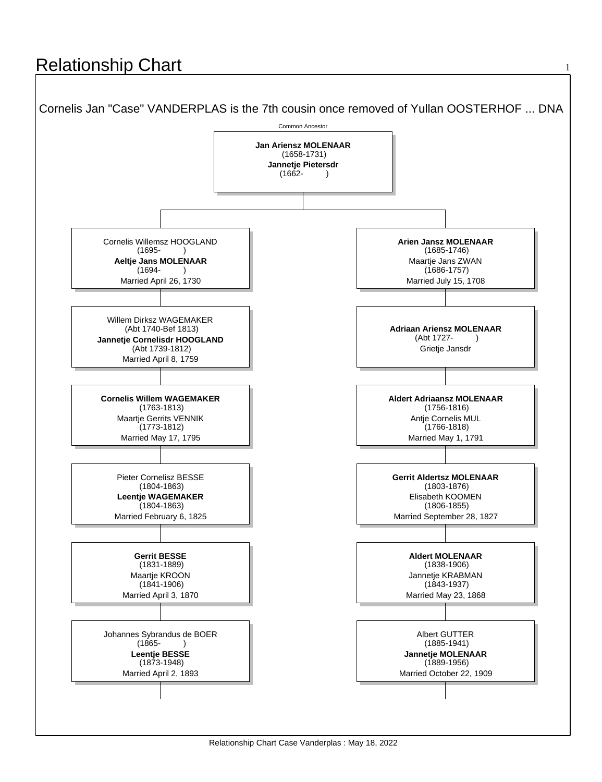## **Relationship Chart**